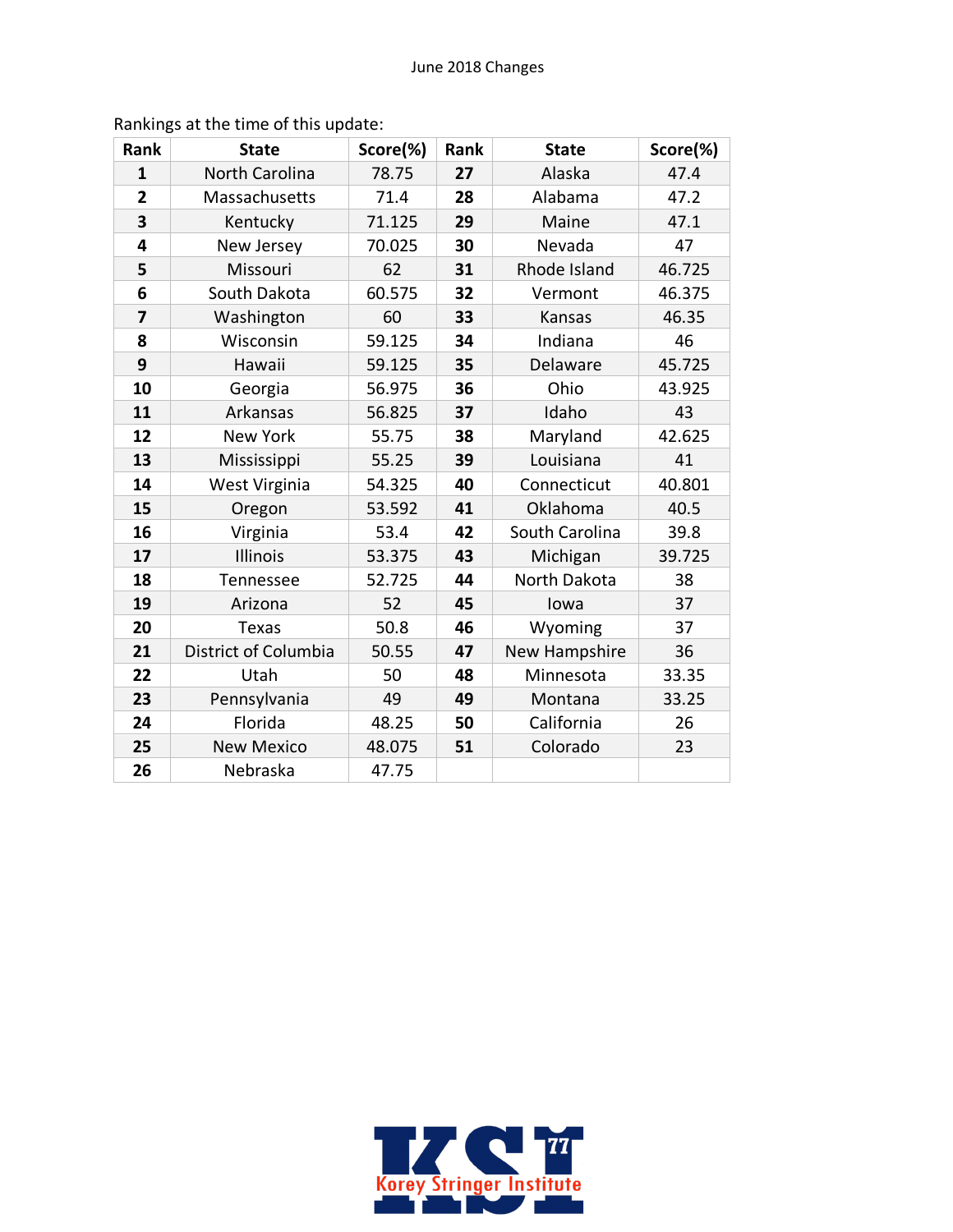| Rank           | <b>State</b>          | Score(%) | Rank | <b>State</b>   | Score(%) |
|----------------|-----------------------|----------|------|----------------|----------|
| $\mathbf{1}$   | <b>North Carolina</b> | 78.75    | 27   | Alaska         | 47.4     |
| $\overline{2}$ | Massachusetts         | 71.4     | 28   | Alabama        | 47.2     |
| 3              | Kentucky              | 71.125   | 29   | Maine          | 47.1     |
| 4              | New Jersey            | 70.025   | 30   | Nevada         | 47       |
| 5              | Missouri              | 62       | 31   | Rhode Island   | 46.725   |
| 6              | South Dakota          | 60.575   | 32   | Vermont        | 46.375   |
| 7              | Washington            | 60       | 33   | Kansas         | 46.35    |
| 8              | Wisconsin             | 59.125   | 34   | Indiana        | 46       |
| 9              | Hawaii                | 59.125   | 35   | Delaware       | 45.725   |
| 10             | Georgia               | 56.975   | 36   | Ohio           | 43.925   |
| 11             | Arkansas              | 56.825   | 37   | Idaho          | 43       |
| 12             | <b>New York</b>       | 55.75    | 38   | Maryland       | 42.625   |
| 13             | Mississippi           | 55.25    | 39   | Louisiana      | 41       |
| 14             | West Virginia         | 54.325   | 40   | Connecticut    | 40.801   |
| 15             | Oregon                | 53.592   | 41   | Oklahoma       | 40.5     |
| 16             | Virginia              | 53.4     | 42   | South Carolina | 39.8     |
| 17             | Illinois              | 53.375   | 43   | Michigan       | 39.725   |
| 18             | Tennessee             | 52.725   | 44   | North Dakota   | 38       |
| 19             | Arizona               | 52       | 45   | lowa           | 37       |
| 20             | <b>Texas</b>          | 50.8     | 46   | Wyoming        | 37       |
| 21             | District of Columbia  | 50.55    | 47   | New Hampshire  | 36       |
| 22             | Utah                  | 50       | 48   | Minnesota      | 33.35    |
| 23             | Pennsylvania          | 49       | 49   | Montana        | 33.25    |
| 24             | Florida               | 48.25    | 50   | California     | 26       |
| 25             | <b>New Mexico</b>     | 48.075   | 51   | Colorado       | 23       |
| 26             | Nebraska              | 47.75    |      |                |          |

Rankings at the time of this update:

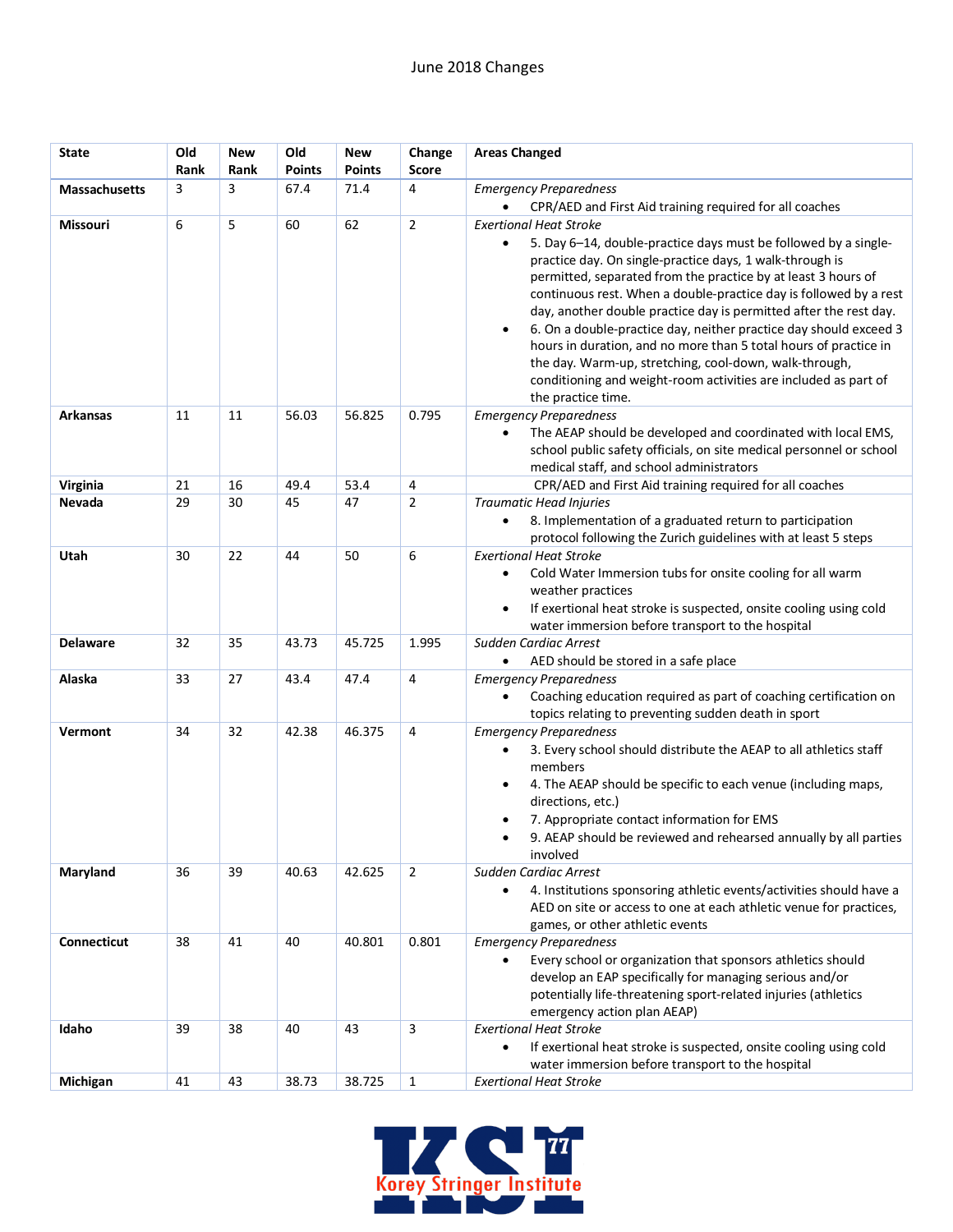| <b>State</b>         | Old<br>Rank | New<br>Rank | Old<br>Points | <b>New</b><br><b>Points</b> | Change<br>Score | <b>Areas Changed</b>                                                                                                                                                                                                                                                                                                                                                                                                                                                                                                                                                                                                                                                                          |
|----------------------|-------------|-------------|---------------|-----------------------------|-----------------|-----------------------------------------------------------------------------------------------------------------------------------------------------------------------------------------------------------------------------------------------------------------------------------------------------------------------------------------------------------------------------------------------------------------------------------------------------------------------------------------------------------------------------------------------------------------------------------------------------------------------------------------------------------------------------------------------|
| <b>Massachusetts</b> | 3           | 3           | 67.4          | 71.4                        | 4               | <b>Emergency Preparedness</b><br>CPR/AED and First Aid training required for all coaches                                                                                                                                                                                                                                                                                                                                                                                                                                                                                                                                                                                                      |
| Missouri             | 6           | 5           | 60            | 62                          | $\overline{2}$  | <b>Exertional Heat Stroke</b><br>5. Day 6-14, double-practice days must be followed by a single-<br>$\bullet$<br>practice day. On single-practice days, 1 walk-through is<br>permitted, separated from the practice by at least 3 hours of<br>continuous rest. When a double-practice day is followed by a rest<br>day, another double practice day is permitted after the rest day.<br>6. On a double-practice day, neither practice day should exceed 3<br>$\bullet$<br>hours in duration, and no more than 5 total hours of practice in<br>the day. Warm-up, stretching, cool-down, walk-through,<br>conditioning and weight-room activities are included as part of<br>the practice time. |
| <b>Arkansas</b>      | 11          | 11          | 56.03         | 56.825                      | 0.795           | <b>Emergency Preparedness</b><br>The AEAP should be developed and coordinated with local EMS,<br>$\bullet$<br>school public safety officials, on site medical personnel or school<br>medical staff, and school administrators                                                                                                                                                                                                                                                                                                                                                                                                                                                                 |
| Virginia             | 21          | 16          | 49.4          | 53.4                        | 4               | CPR/AED and First Aid training required for all coaches                                                                                                                                                                                                                                                                                                                                                                                                                                                                                                                                                                                                                                       |
| Nevada               | 29          | 30          | 45            | 47                          | $\overline{2}$  | Traumatic Head Injuries<br>8. Implementation of a graduated return to participation<br>$\bullet$<br>protocol following the Zurich guidelines with at least 5 steps                                                                                                                                                                                                                                                                                                                                                                                                                                                                                                                            |
| Utah                 | 30          | 22          | 44            | 50                          | 6               | <b>Exertional Heat Stroke</b><br>Cold Water Immersion tubs for onsite cooling for all warm<br>$\bullet$<br>weather practices<br>If exertional heat stroke is suspected, onsite cooling using cold<br>$\bullet$<br>water immersion before transport to the hospital                                                                                                                                                                                                                                                                                                                                                                                                                            |
| <b>Delaware</b>      | 32          | 35          | 43.73         | 45.725                      | 1.995           | Sudden Cardiac Arrest<br>AED should be stored in a safe place                                                                                                                                                                                                                                                                                                                                                                                                                                                                                                                                                                                                                                 |
| Alaska               | 33          | 27          | 43.4          | 47.4                        | 4               | <b>Emergency Preparedness</b><br>Coaching education required as part of coaching certification on<br>$\bullet$<br>topics relating to preventing sudden death in sport                                                                                                                                                                                                                                                                                                                                                                                                                                                                                                                         |
| Vermont              | 34          | 32          | 42.38         | 46.375                      | 4               | <b>Emergency Preparedness</b><br>3. Every school should distribute the AEAP to all athletics staff<br>$\bullet$<br>members<br>4. The AEAP should be specific to each venue (including maps,<br>$\bullet$<br>directions, etc.)<br>7. Appropriate contact information for EMS<br>$\bullet$<br>9. AEAP should be reviewed and rehearsed annually by all parties<br>involved                                                                                                                                                                                                                                                                                                                      |
| Maryland             | 36          | 39          | 40.63         | 42.625                      | $\overline{2}$  | Sudden Cardiac Arrest<br>4. Institutions sponsoring athletic events/activities should have a<br>$\bullet$<br>AED on site or access to one at each athletic venue for practices,<br>games, or other athletic events                                                                                                                                                                                                                                                                                                                                                                                                                                                                            |
| Connecticut          | 38          | 41          | 40            | 40.801                      | 0.801           | <b>Emergency Preparedness</b><br>Every school or organization that sponsors athletics should<br>develop an EAP specifically for managing serious and/or<br>potentially life-threatening sport-related injuries (athletics<br>emergency action plan AEAP)                                                                                                                                                                                                                                                                                                                                                                                                                                      |
| Idaho                | 39          | 38          | 40            | 43                          | 3               | <b>Exertional Heat Stroke</b><br>If exertional heat stroke is suspected, onsite cooling using cold<br>$\bullet$<br>water immersion before transport to the hospital                                                                                                                                                                                                                                                                                                                                                                                                                                                                                                                           |
| Michigan             | 41          | 43          | 38.73         | 38.725                      | $\mathbf{1}$    | <b>Exertional Heat Stroke</b>                                                                                                                                                                                                                                                                                                                                                                                                                                                                                                                                                                                                                                                                 |